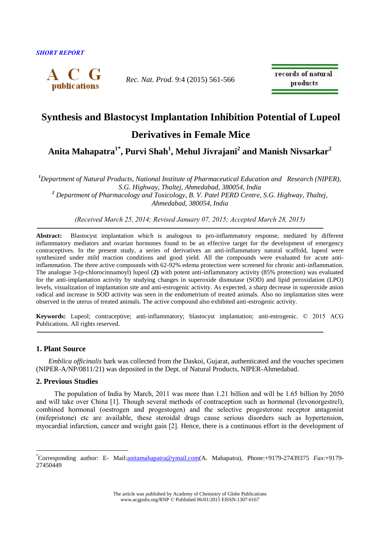

*Rec. Nat. Prod*. 9:4 (2015) 561-566

records of natural products

# **Synthesis and Blastocyst Implantation Inhibition Potential of Lupeol**

**Derivatives in Female Mice**

**Anita Mahapatra1\* , Purvi Shah<sup>1</sup> , Mehul Jivrajani<sup>2</sup> and Manish Nivsarkar<sup>2</sup>**

*<sup>1</sup>Department of Natural Products, National Institute of Pharmaceutical Education and Research (NIPER), S.G. Highway, Thaltej, Ahmedabad, 380054, India <sup>2</sup> Department of Pharmacology and Toxicology, B. V. Patel PERD Centre, S.G. Highway, Thaltej, Ahmedabad, 380054, India*

*(Received March 25, 2014; Revised January 07, 2015; Accepted March 28, 2015)*

**Abstract:** Blastocyst implantation which is analogous to pro-inflammatory response, mediated by different inflammatory mediators and ovarian hormones found to be an effective target for the development of emergency contraceptives. In the present study, a series of derivatives an anti-inflammatory natural scaffold, lupeol were synthesized under mild reaction conditions and good yield. All the compounds were evaluated for acute antiinflammation. The three active compounds with 62-92% edema protection were screened for chronic anti-inflammation. The analogue 3-(p-chlorocinnamoyl) lupeol (**2)** with potent anti-inflammatory activity (85% protection) was evaluated for the anti-implantation activity by studying changes in superoxide dismutase (SOD) and lipid peroxidation (LPO) levels, visualization of implantation site and anti-estrogenic activity. As expected, a sharp decrease in superoxide anion radical and increase in SOD activity was seen in the endometrium of treated animals. Also no implantation sites were observed in the uterus of treated animals. The active compound also exhibited anti-estrogenic activity.

**Keywords:** Lupeol; contraceptive; anti-inflammatory; blastocyst implantation; anti-estrogenic. © 2015 ACG Publications. All rights reserved.

# **1. Plant Source**

 *Emblica officinalis* bark was collected from the Daskoi, Gujarat, authenticated and the voucher specimen (NIPER-A/NP/0811/21) was deposited in the Dept. of Natural Products, NIPER-Ahmedabad.

# **2. Previous Studies**

1

The population of India by March, 2011 was more than 1.21 billion and will be 1.65 billion by 2050 and will take over China [1]. Though several methods of contraception such as hormonal (levonorgestrel), combined hormonal (oestrogen and progestogen) and the selective progesterone receptor antagonist (mifepristone) etc are available, these steroidal drugs cause serious disorders such as hypertension, myocardial infarction, cancer and weight gain [2]. Hence, there is a continuous effort in the development of

<sup>\*</sup>Corresponding author: E- Mail[:anitamahapatra@ymail.com\(](mailto:anitamahapatra@ymail.com)A. Mahapatra), Phone:+9179-27439375 *Fax*:+9179- 27450449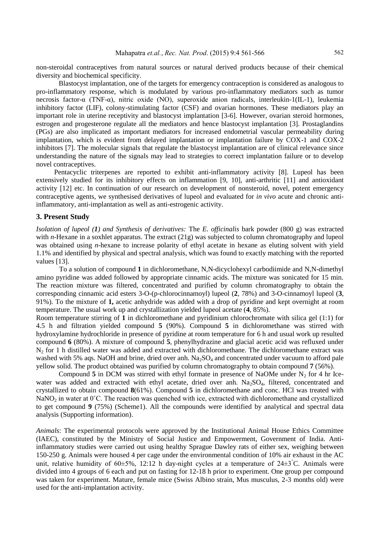non-steroidal contraceptives from natural sources or natural derived products because of their chemical diversity and biochemical specificity.

Blastocyst implantation, one of the targets for emergency contraception is considered as analogous to pro-inflammatory response, which is modulated by various pro-inflammatory mediators such as tumor necrosis factor-α (TNF-α), nitric oxide (NO), superoxide anion radicals, interleukin-1(IL-1), leukemia inhibitory factor (LIF), colony-stimulating factor (CSF) and ovarian hormones. These mediators play an important role in uterine receptivity and blastocyst implantation [3-6]. However, ovarian steroid hormones, estrogen and progesterone regulate all the mediators and hence blastocyst implantation [3]. Prostaglandins (PGs) are also implicated as important mediators for increased endometrial vascular permeability during implantation, which is evident from delayed implantation or implantation failure by COX-1 and COX-2 inhibitors [7]. The molecular signals that regulate the blastocyst implantation are of clinical relevance since understanding the nature of the signals may lead to strategies to correct implantation failure or to develop novel contraceptives.

Pentacyclic triterpenes are reported to exhibit anti-inflammatory activity [8]. Lupeol has been extensively studied for its inhibitory effects on inflammation [9, 10], anti-arthritic [11] and antioxidant activity [12] etc. In continuation of our research on development of nonsteroid, novel, potent emergency contraceptive agents, we synthesised derivatives of lupeol and evaluated for *in vivo* acute and chronic antiinflammatory, anti-implantation as well as anti-estrogenic activity.

### **3. Present Study**

*Isolation of lupeol (1) and Synthesis of derivatives:* The *E. officinalis* bark powder (800 g) was extracted with *n*-Hexane in a soxhlet apparatus. The extract (21g) was subjected to column chromatography and lupeol was obtained using *n*-hexane to increase polarity of ethyl acetate in hexane as eluting solvent with yield 1.1% and identified by physical and spectral analysis, which was found to exactly matching with the reported values [13].

To a solution of compound **1** in dichloromethane, N,N-dicyclohexyl carbodiimide and N,N-dimethyl amino pyridine was added followed by appropriate cinnamic acids. The mixture was sonicated for 15 min. The reaction mixture was filtered, concentrated and purified by column chromatography to obtain the corresponding cinnamic acid esters 3-O-(p-chlorocinnamoyl) lupeol (**2**, 78%) and 3-O-cinnamoyl lupeol (**3**, 91%). To the mixture of **1,** acetic anhydride was added with a drop of pyridine and kept overnight at room temperature. The usual work up and crystallization yielded lupeol acetate (**4**, 85%).

Room temperature stirring of **1** in dichloromethane and pyridinium chlorochromate with silica gel (1:1) for 4.5 h and filtration yielded compound **5** (90%). Compound **5** in dichloromethane was stirred with hydroxylamine hydrochloride in presence of pyridine at room temperature for 6 h and usual work up resulted compound **6** (80%). A mixture of compound **5**, phenylhydrazine and glacial acetic acid was refluxed under  $N_2$  for 1 h distilled water was added and extracted with dichloromethane. The dichloromethane extract was washed with 5% aqs. NaOH and brine, dried over anh.  $Na<sub>2</sub>SO<sub>4</sub>$  and concentrated under vacuum to afford pale yellow solid. The product obtained was purified by column chromatography to obtain compound **7** (56%).

Compound  $5$  in DCM was stirred with ethyl formate in presence of NaOMe under N<sub>2</sub> for 4 hr Icewater was added and extracted with ethyl acetate, dried over anh. Na<sub>2</sub>SO<sub>4</sub>, filtered, concentrated and crystallized to obtain compound **8**(61%). Compound **5** in dichloromethane and conc. HCl was treated with NaNO<sub>2</sub> in water at 0°C. The reaction was quenched with ice, extracted with dichloromethane and crystallized to get compound **9** (75%) (Scheme1). All the compounds were identified by analytical and spectral data analysis (Supporting information).

*Animals*: The experimental protocols were approved by the Institutional Animal House Ethics Committee (IAEC), constituted by the Ministry of Social Justice and Empowerment, Government of India. Antiinflammatory studies were carried out using healthy Sprague Dawley rats of either sex, weighing between 150-250 g. Animals were housed 4 per cage under the environmental condition of 10% air exhaust in the AC unit, relative humidity of  $60\pm5\%$ , 12:12 h day-night cycles at a temperature of  $24\pm3^{\circ}$ C. Animals were divided into 4 groups of 6 each and put on fasting for 12-18 h prior to experiment. One group per compound was taken for experiment. Mature, female mice (Swiss Albino strain, Mus musculus, 2-3 months old) were used for the anti-implantation activity.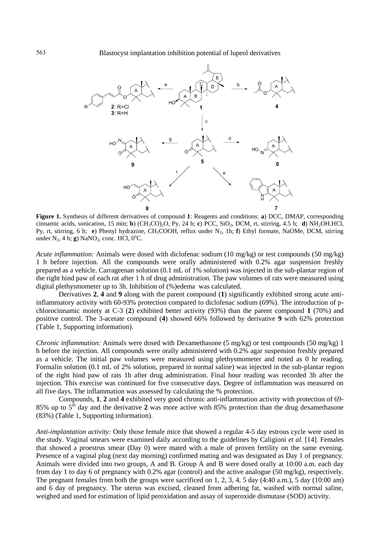

**Figure 1.** Synthesis of different derivatives of compound **1**: Reagents and conditions: **a**) DCC, DMAP, corresponding cinnamic acids, sonication, 15 min; **b**) (CH3CO)2O, Py, 24 h; **c**) PCC, SiO2, DCM, rt, stirring, 4.5 h; **d**) NH2OH.HCl, Py, rt, stirring, 6 h; **e**) Phenyl hydrazine, CH<sub>3</sub>COOH, reflux under N<sub>2</sub>, 1h; **f**) Ethyl formate, NaOMe, DCM, stirring under  $N_2$ , 4 h; **g**) NaNO<sub>2</sub>, conc. HCl, 0<sup>o</sup>C.

*Acute inflammation:* Animals were dosed with diclofenac sodium (10 mg/kg) or test compounds (50 mg/kg) 1 h before injection. All the compounds were orally administered with 0.2% agar suspension freshly prepared as a vehicle. Carrageenan solution (0.1 mL of 1% solution) was injected in the sub-plantar region of the right hind paw of each rat after 1 h of drug administration. The paw volumes of rats were measured using digital plethysmometer up to 3h. Inhibition of (%)edema was calculated.

Derivatives **2**, **4** and **9** along with the parent compound (**1**) significantly exhibited strong acute antiinflammatory activity with 60-93% protection compared to diclofenac sodium (69%). The introduction of pchlorocinnamic moiety at C-3 (**2**) exhibited better activity (93%) than the parent compound **1** (70%) and positive control. The 3-acetate compound (**4**) showed 66% followed by derivative **9** with 62% protection (Table 1, Supporting information).

*Chronic inflammation:* Animals were dosed with Dexamethasone (5 mg/kg) or test compounds (50 mg/kg) 1 h before the injection. All compounds were orally administered with 0.2% agar suspension freshly prepared as a vehicle. The initial paw volumes were measured using plethysmometer and noted as 0 hr reading. Formalin solution (0.1 mL of 2% solution, prepared in normal saline) was injected in the sub-plantar region of the right hind paw of rats 1h after drug administration. Final hour reading was recorded 3h after the injection. This exercise was continued for five consecutive days. Degree of inflammation was measured on all five days. The inflammation was assessed by calculating the % protection.

Compounds, **1**, **2** and **4** exhibited very good chronic anti-inflammation activity with protection of 69- 85% up to  $5<sup>th</sup>$  day and the derivative 2 was more active with 85% protection than the drug dexamethasone (83%) (Table 1, Supporting information).

*Anti-implantation activity:* Only those female mice that showed a regular 4-5 day estrous cycle were used in the study. Vaginal smears were examined daily according to the guidelines by Caligioni *et al*. [14]. Females that showed a proestrus smear (Day 0) were mated with a male of proven fertility on the same evening. Presence of a vaginal plug (next day morning) confirmed mating and was designated as Day 1 of pregnancy. Animals were divided into two groups, A and B. Group A and B were dosed orally at 10:00 a.m. each day from day 1 to day 6 of pregnancy with 0.2% agar (control) and the active analogue (50 mg/kg), respectively. The pregnant females from both the groups were sacrificed on 1, 2, 3, 4, 5 day (4:40 a.m.), 5 day (10:00 am) and 6 day of pregnancy. The uterus was excised, cleaned from adhering fat, washed with normal saline, weighed and used for estimation of lipid peroxidation and assay of superoxide dismutase (SOD) activity.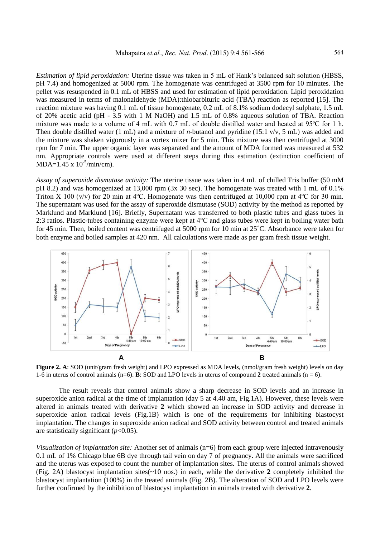*Estimation of lipid peroxidation:* Uterine tissue was taken in 5 mL of Hank's balanced salt solution (HBSS, pH 7.4) and homogenized at 5000 rpm. The homogenate was centrifuged at 3500 rpm for 10 minutes. The pellet was resuspended in 0.1 mL of HBSS and used for estimation of lipid peroxidation. Lipid peroxidation was measured in terms of malonaldehyde (MDA):thiobarbituric acid (TBA) reaction as reported [15]. The reaction mixture was having 0.1 mL of tissue homogenate, 0.2 mL of 8.1% sodium dodecyl sulphate, 1.5 mL of 20% acetic acid (pH - 3.5 with 1 M NaOH) and 1.5 mL of 0.8% aqueous solution of TBA. Reaction mixture was made to a volume of 4 mL with 0.7 mL of double distilled water and heated at 95ºC for 1 h. Then double distilled water (1 mL) and a mixture of *n*-butanol and pyridine (15:1 v/v, 5 mL) was added and the mixture was shaken vigorously in a vortex mixer for 5 min. This mixture was then centrifuged at 3000 rpm for 7 min. The upper organic layer was separated and the amount of MDA formed was measured at 532 nm. Appropriate controls were used at different steps during this estimation (extinction coefficient of  $MDA=1.45 \times 10^{-5} / min/cm$ ).

*Assay of superoxide dismutase activity:* The uterine tissue was taken in 4 mL of chilled Tris buffer (50 mM pH 8.2) and was homogenized at 13,000 rpm (3x 30 sec). The homogenate was treated with 1 mL of 0.1% Triton X 100 (v/v) for 20 min at 4 °C. Homogenate was then centrifuged at 10,000 rpm at 4 °C for 30 min. The supernatant was used for the assay of superoxide dismutase (SOD) activity by the method as reported by Marklund and Marklund [16]. Briefly, Supernatant was transferred to both plastic tubes and glass tubes in 2:3 ratios. Plastic-tubes containing enzyme were kept at 4°C and glass tubes were kept in boiling water bath for 45 min. Then, boiled content was centrifuged at 5000 rpm for 10 min at 25˚C. Absorbance were taken for both enzyme and boiled samples at 420 nm. All calculations were made as per gram fresh tissue weight.



**Figure 2. A**: SOD (unit/gram fresh weight) and LPO expressed as MDA levels, (nmol/gram fresh weight) levels on day 1-6 in uterus of control animals  $(n=6)$ . **B**: SOD and LPO levels in uterus of compound 2 treated animals  $(n = 6)$ .

The result reveals that control animals show a sharp decrease in SOD levels and an increase in superoxide anion radical at the time of implantation (day 5 at 4.40 am, Fig.1A). However, these levels were altered in animals treated with derivative **2** which showed an increase in SOD activity and decrease in superoxide anion radical levels (Fig.1B) which is one of the requirements for inhibiting blastocyst implantation. The changes in superoxide anion radical and SOD activity between control and treated animals are statistically significant (*p*<0.05).

*Visualization of implantation site:* Another set of animals (n=6) from each group were injected intravenously 0.1 mL of 1% Chicago blue 6B dye through tail vein on day 7 of pregnancy. All the animals were sacrificed and the uterus was exposed to count the number of implantation sites. The uterus of control animals showed (Fig. 2A) blastocyst implantation sites(~10 nos.) in each, while the derivative **2** completely inhibited the blastocyst implantation (100%) in the treated animals (Fig. 2B). The alteration of SOD and LPO levels were further confirmed by the inhibition of blastocyst implantation in animals treated with derivative **2**.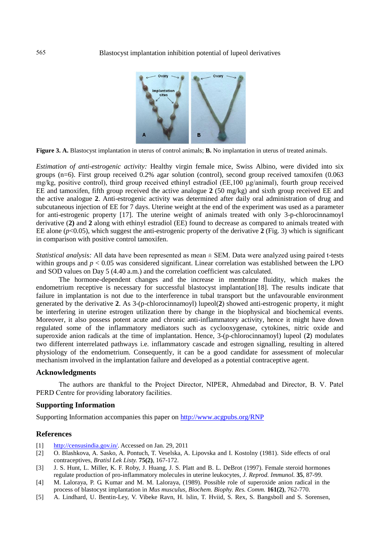

**Figure 3. A.** Blastocyst implantation in uterus of control animals; **B.** No implantation in uterus of treated animals.

*Estimation of anti-estrogenic activity:* Healthy virgin female mice, Swiss Albino, were divided into six groups (n=6). First group received 0.2% agar solution (control), second group received tamoxifen (0.063 mg/kg, positive control), third group received ethinyl estradiol (EE,100 µg/animal), fourth group received EE and tamoxifen, fifth group received the active analogue **2** (50 mg/kg) and sixth group received EE and the active analogue **2**. Anti-estrogenic activity was determined after daily oral administration of drug and subcutaneous injection of EE for 7 days. Uterine weight at the end of the experiment was used as a parameter for anti-estrogenic property [17]. The uterine weight of animals treated with only 3-p-chlorocinnamoyl derivative (**2)** and **2** along with ethinyl estradiol (EE) found to decrease as compared to animals treated with EE alone  $(p<0.05)$ , which suggest the anti-estrogenic property of the derivative 2 (Fig. 3) which is significant in comparison with positive control tamoxifen.

*Statistical analysis:* All data have been represented as mean ± SEM. Data were analyzed using paired t-tests within groups and  $p < 0.05$  was considered significant. Linear correlation was established between the LPO and SOD values on Day 5 (4.40 a.m.) and the correlation coefficient was calculated.

The hormone-dependent changes and the increase in membrane fluidity, which makes the endometrium receptive is necessary for successful blastocyst implantation[18]. The results indicate that failure in implantation is not due to the interference in tubal transport but the unfavourable environment generated by the derivative **2**. As 3-(p-chlorocinnamoyl) lupeol(**2**) showed anti-estrogenic property, it might be interfering in uterine estrogen utilization there by change in the biophysical and biochemical events. Moreover, it also possess potent acute and chronic anti-inflammatory activity, hence it might have down regulated some of the inflammatory mediators such as cyclooxygenase, cytokines, nitric oxide and superoxide anion radicals at the time of implantation. Hence, 3-(p-chlorocinnamoyl) lupeol (**2**) modulates two different interrelated pathways i.e. inflammatory cascade and estrogen signalling, resulting in altered physiology of the endometrium. Consequently, it can be a good candidate for assessment of molecular mechanism involved in the implantation failure and developed as a potential contraceptive agent.

#### **Acknowledgments**

The authors are thankful to the Project Director, NIPER, Ahmedabad and Director, B. V. Patel PERD Centre for providing laboratory facilities.

#### **Supporting Information**

Supporting Information accompanies this paper on<http://www.acgpubs.org/RNP>

#### **References**

- [1] [http://censusindia.gov.in/.](http://censusindia.gov.in/) Accessed on Jan. 29, 2011
- [2] O. Blashkova, A. Sasko, A. Pontuch, T. Veselska, A. Lipovska and I. Kostolny (1981). Side effects of oral contraceptives, *Bratisl Lek Listy.* **75(2)**, 167-172.
- [3] J. S. Hunt, L. Miller, K. F. Roby, J. Huang, J. S. Platt and B. L. DeBrot (1997). Female steroid hormones regulate production of pro-inflammatory molecules in uterine leukocytes, *J. Reprod. Immunol.* **35**, 87-99.
- [4] M. Laloraya, P. G. Kumar and M. M. Laloraya, (1989). Possible role of superoxide anion radical in the process of blastocyst implantation in *Mus musculus*, *Biochem. Biophy. Res. Comm.* **161(2)**, 762-770.
- [5] A. Lindhard, U. Bentin-Ley, V. Vibeke Ravn, H. lslin, T. Hviid, S. Rex, S. Bangsboll and S. Sorensen,